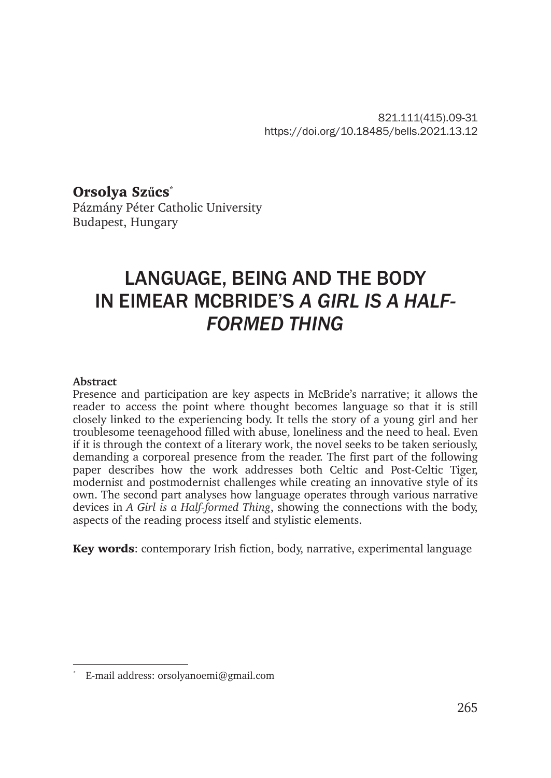821.111(415).09-31 https://doi.org/10.18485/bells.2021.13.12

Orsolya Sz**ű**cs\*

Pázmány Péter Catholic University Budapest, Hungary

# LANGUAGE, BEING AND THE BODY IN EIMEAR MCBRIDE'S *A GIRL IS A HALF-FORMED THING*

#### **Abstract**

Presence and participation are key aspects in McBride's narrative; it allows the reader to access the point where thought becomes language so that it is still closely linked to the experiencing body. It tells the story of a young girl and her troublesome teenagehood filled with abuse, loneliness and the need to heal. Even if it is through the context of a literary work, the novel seeks to be taken seriously, demanding a corporeal presence from the reader. The first part of the following paper describes how the work addresses both Celtic and Post-Celtic Tiger, modernist and postmodernist challenges while creating an innovative style of its own. The second part analyses how language operates through various narrative devices in *A Girl is a Half-formed Thing*, showing the connections with the body, aspects of the reading process itself and stylistic elements.

Key words: contemporary Irish fiction, body, narrative, experimental language

<sup>\*</sup> E-mail address: orsolyanoemi@gmail.com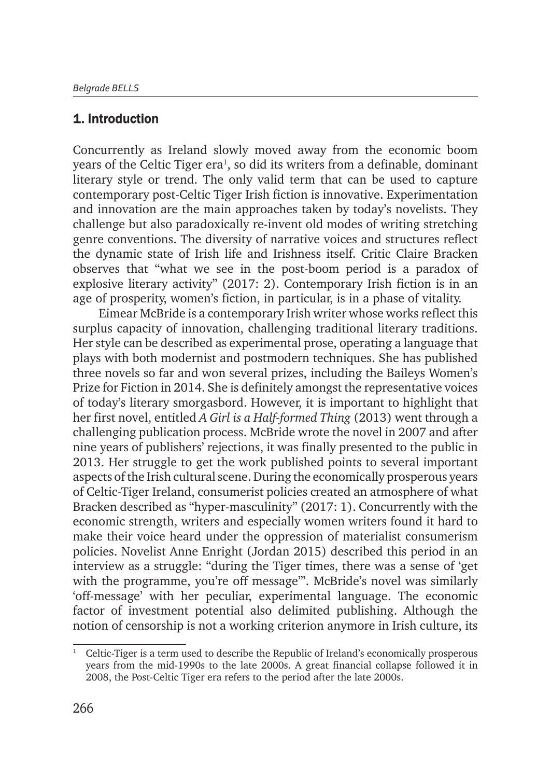### 1. Introduction

Concurrently as Ireland slowly moved away from the economic boom years of the Celtic Tiger era<sup>1</sup>, so did its writers from a definable, dominant literary style or trend. The only valid term that can be used to capture contemporary post-Celtic Tiger Irish fiction is innovative. Experimentation and innovation are the main approaches taken by today's novelists. They challenge but also paradoxically re-invent old modes of writing stretching genre conventions. The diversity of narrative voices and structures reflect the dynamic state of Irish life and Irishness itself. Critic Claire Bracken observes that "what we see in the post-boom period is a paradox of explosive literary activity" (2017: 2). Contemporary Irish fiction is in an age of prosperity, women's fiction, in particular, is in a phase of vitality.

Eimear McBride is a contemporary Irish writer whose works reflect this surplus capacity of innovation, challenging traditional literary traditions. Her style can be described as experimental prose, operating a language that plays with both modernist and postmodern techniques. She has published three novels so far and won several prizes, including the Baileys Women's Prize for Fiction in 2014. She is definitely amongst the representative voices of today's literary smorgasbord. However, it is important to highlight that her first novel, entitled *A Girl is a Half-formed Thing* (2013) went through a challenging publication process. McBride wrote the novel in 2007 and after nine years of publishers' rejections, it was finally presented to the public in 2013. Her struggle to get the work published points to several important aspects of the Irish cultural scene. During the economically prosperous years of Celtic-Tiger Ireland, consumerist policies created an atmosphere of what Bracken described as "hyper-masculinity" (2017: 1). Concurrently with the economic strength, writers and especially women writers found it hard to make their voice heard under the oppression of materialist consumerism policies. Novelist Anne Enright (Jordan 2015) described this period in an interview as a struggle: "during the Tiger times, there was a sense of 'get with the programme, you're off message'". McBride's novel was similarly 'off-message' with her peculiar, experimental language. The economic factor of investment potential also delimited publishing. Although the notion of censorship is not a working criterion anymore in Irish culture, its

<sup>1</sup> Celtic-Tiger is a term used to describe the Republic of Ireland's economically prosperous years from the mid-1990s to the late 2000s. A great financial collapse followed it in 2008, the Post-Celtic Tiger era refers to the period after the late 2000s.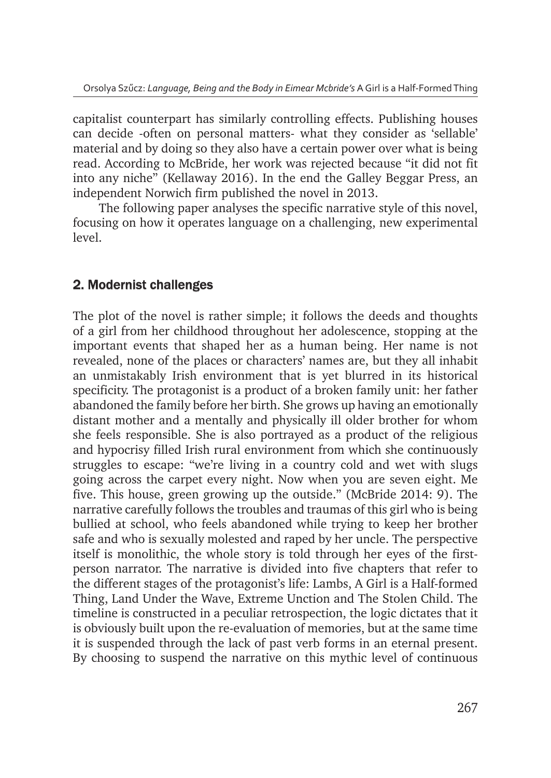capitalist counterpart has similarly controlling effects. Publishing houses can decide -often on personal matters- what they consider as 'sellable' material and by doing so they also have a certain power over what is being read. According to McBride, her work was rejected because "it did not fit into any niche" (Kellaway 2016). In the end the Galley Beggar Press, an independent Norwich firm published the novel in 2013.

The following paper analyses the specific narrative style of this novel, focusing on how it operates language on a challenging, new experimental level.

## 2. Modernist challenges

The plot of the novel is rather simple; it follows the deeds and thoughts of a girl from her childhood throughout her adolescence, stopping at the important events that shaped her as a human being. Her name is not revealed, none of the places or characters' names are, but they all inhabit an unmistakably Irish environment that is yet blurred in its historical specificity. The protagonist is a product of a broken family unit: her father abandoned the family before her birth. She grows up having an emotionally distant mother and a mentally and physically ill older brother for whom she feels responsible. She is also portrayed as a product of the religious and hypocrisy filled Irish rural environment from which she continuously struggles to escape: "we're living in a country cold and wet with slugs going across the carpet every night. Now when you are seven eight. Me five. This house, green growing up the outside." (McBride 2014: 9). The narrative carefully follows the troubles and traumas of this girl who is being bullied at school, who feels abandoned while trying to keep her brother safe and who is sexually molested and raped by her uncle. The perspective itself is monolithic, the whole story is told through her eyes of the firstperson narrator. The narrative is divided into five chapters that refer to the different stages of the protagonist's life: Lambs, A Girl is a Half-formed Thing, Land Under the Wave, Extreme Unction and The Stolen Child. The timeline is constructed in a peculiar retrospection, the logic dictates that it is obviously built upon the re-evaluation of memories, but at the same time it is suspended through the lack of past verb forms in an eternal present. By choosing to suspend the narrative on this mythic level of continuous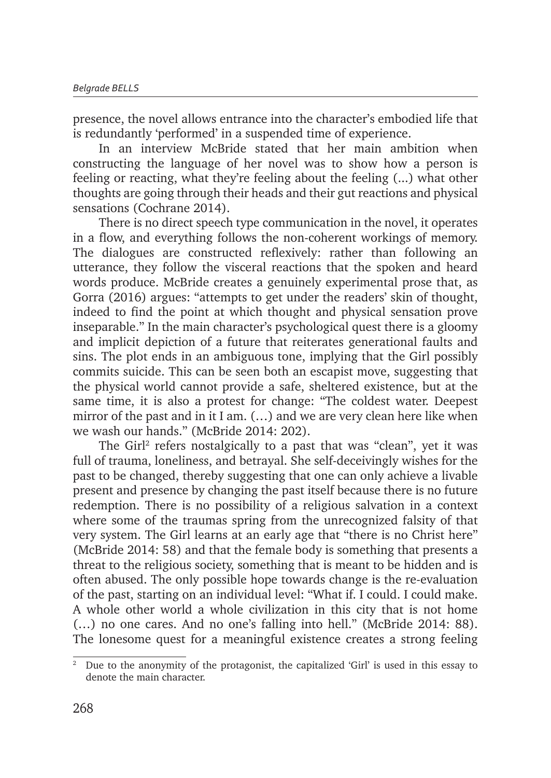presence, the novel allows entrance into the character's embodied life that is redundantly 'performed' in a suspended time of experience.

In an interview McBride stated that her main ambition when constructing the language of her novel was to show how a person is feeling or reacting, what they're feeling about the feeling (...) what other thoughts are going through their heads and their gut reactions and physical sensations (Cochrane 2014).

There is no direct speech type communication in the novel, it operates in a flow, and everything follows the non-coherent workings of memory. The dialogues are constructed reflexively: rather than following an utterance, they follow the visceral reactions that the spoken and heard words produce. McBride creates a genuinely experimental prose that, as Gorra (2016) argues: "attempts to get under the readers' skin of thought, indeed to find the point at which thought and physical sensation prove inseparable." In the main character's psychological quest there is a gloomy and implicit depiction of a future that reiterates generational faults and sins. The plot ends in an ambiguous tone, implying that the Girl possibly commits suicide. This can be seen both an escapist move, suggesting that the physical world cannot provide a safe, sheltered existence, but at the same time, it is also a protest for change: "The coldest water. Deepest mirror of the past and in it I am. (…) and we are very clean here like when we wash our hands." (McBride 2014: 202).

The Girl<sup>2</sup> refers nostalgically to a past that was "clean", yet it was full of trauma, loneliness, and betrayal. She self-deceivingly wishes for the past to be changed, thereby suggesting that one can only achieve a livable present and presence by changing the past itself because there is no future redemption. There is no possibility of a religious salvation in a context where some of the traumas spring from the unrecognized falsity of that very system. The Girl learns at an early age that "there is no Christ here" (McBride 2014: 58) and that the female body is something that presents a threat to the religious society, something that is meant to be hidden and is often abused. The only possible hope towards change is the re-evaluation of the past, starting on an individual level: "What if. I could. I could make. A whole other world a whole civilization in this city that is not home (…) no one cares. And no one's falling into hell." (McBride 2014: 88). The lonesome quest for a meaningful existence creates a strong feeling

<sup>2</sup> Due to the anonymity of the protagonist, the capitalized 'Girl' is used in this essay to denote the main character.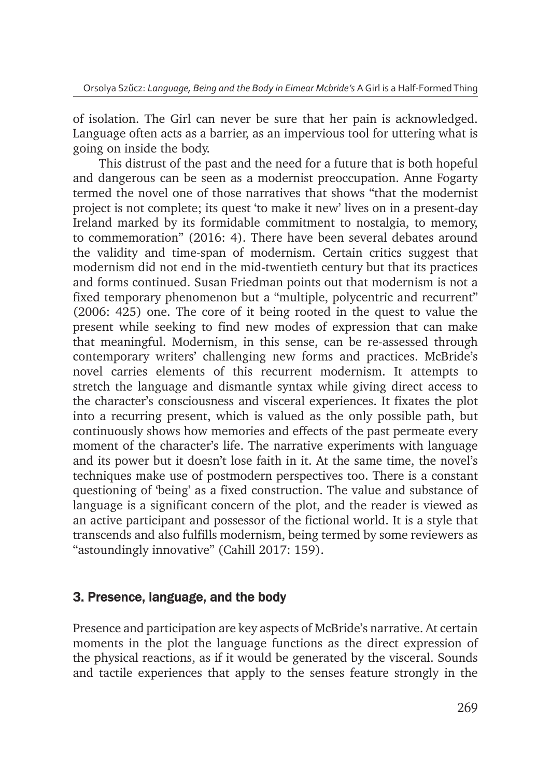of isolation. The Girl can never be sure that her pain is acknowledged. Language often acts as a barrier, as an impervious tool for uttering what is going on inside the body.

This distrust of the past and the need for a future that is both hopeful and dangerous can be seen as a modernist preoccupation. Anne Fogarty termed the novel one of those narratives that shows "that the modernist project is not complete; its quest 'to make it new' lives on in a present-day Ireland marked by its formidable commitment to nostalgia, to memory, to commemoration" (2016: 4). There have been several debates around the validity and time-span of modernism. Certain critics suggest that modernism did not end in the mid-twentieth century but that its practices and forms continued. Susan Friedman points out that modernism is not a fixed temporary phenomenon but a "multiple, polycentric and recurrent" (2006: 425) one. The core of it being rooted in the quest to value the present while seeking to find new modes of expression that can make that meaningful. Modernism, in this sense, can be re-assessed through contemporary writers' challenging new forms and practices. McBride's novel carries elements of this recurrent modernism. It attempts to stretch the language and dismantle syntax while giving direct access to the character's consciousness and visceral experiences. It fixates the plot into a recurring present, which is valued as the only possible path, but continuously shows how memories and effects of the past permeate every moment of the character's life. The narrative experiments with language and its power but it doesn't lose faith in it. At the same time, the novel's techniques make use of postmodern perspectives too. There is a constant questioning of 'being' as a fixed construction. The value and substance of language is a significant concern of the plot, and the reader is viewed as an active participant and possessor of the fictional world. It is a style that transcends and also fulfills modernism, being termed by some reviewers as "astoundingly innovative" (Cahill 2017: 159).

#### 3. Presence, language, and the body

Presence and participation are key aspects of McBride's narrative. At certain moments in the plot the language functions as the direct expression of the physical reactions, as if it would be generated by the visceral. Sounds and tactile experiences that apply to the senses feature strongly in the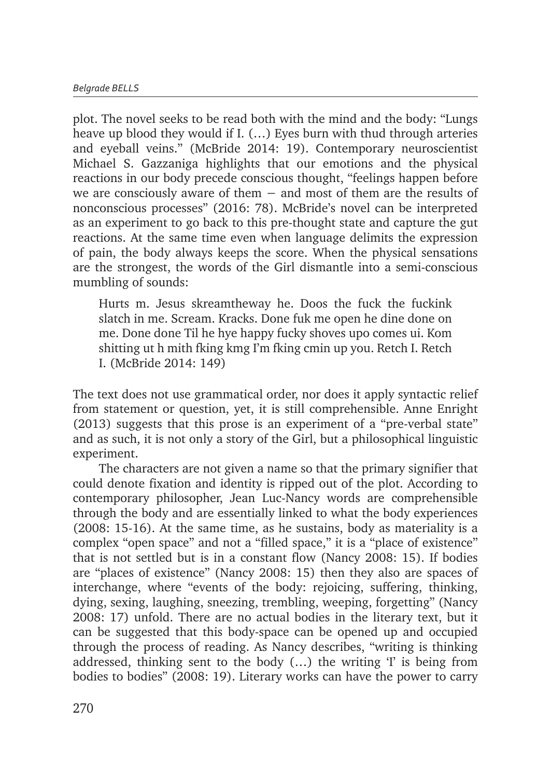plot. The novel seeks to be read both with the mind and the body: "Lungs heave up blood they would if I. (…) Eyes burn with thud through arteries and eyeball veins." (McBride 2014: 19). Contemporary neuroscientist Michael S. Gazzaniga highlights that our emotions and the physical reactions in our body precede conscious thought, "feelings happen before we are consciously aware of them  $-$  and most of them are the results of nonconscious processes" (2016: 78). McBride's novel can be interpreted as an experiment to go back to this pre-thought state and capture the gut reactions. At the same time even when language delimits the expression of pain, the body always keeps the score. When the physical sensations are the strongest, the words of the Girl dismantle into a semi-conscious mumbling of sounds:

Hurts m. Jesus skreamtheway he. Doos the fuck the fuckink slatch in me. Scream. Kracks. Done fuk me open he dine done on me. Done done Til he hye happy fucky shoves upo comes ui. Kom shitting ut h mith fking kmg I'm fking cmin up you. Retch I. Retch I. (McBride 2014: 149)

The text does not use grammatical order, nor does it apply syntactic relief from statement or question, yet, it is still comprehensible. Anne Enright (2013) suggests that this prose is an experiment of a "pre-verbal state" and as such, it is not only a story of the Girl, but a philosophical linguistic experiment.

The characters are not given a name so that the primary signifier that could denote fixation and identity is ripped out of the plot. According to contemporary philosopher, Jean Luc-Nancy words are comprehensible through the body and are essentially linked to what the body experiences (2008: 15-16). At the same time, as he sustains, body as materiality is a complex "open space" and not a "filled space," it is a "place of existence" that is not settled but is in a constant flow (Nancy 2008: 15). If bodies are "places of existence" (Nancy 2008: 15) then they also are spaces of interchange, where "events of the body: rejoicing, suffering, thinking, dying, sexing, laughing, sneezing, trembling, weeping, forgetting" (Nancy 2008: 17) unfold. There are no actual bodies in the literary text, but it can be suggested that this body-space can be opened up and occupied through the process of reading. As Nancy describes, "writing is thinking addressed, thinking sent to the body  $(...)$  the writing 'I' is being from bodies to bodies" (2008: 19). Literary works can have the power to carry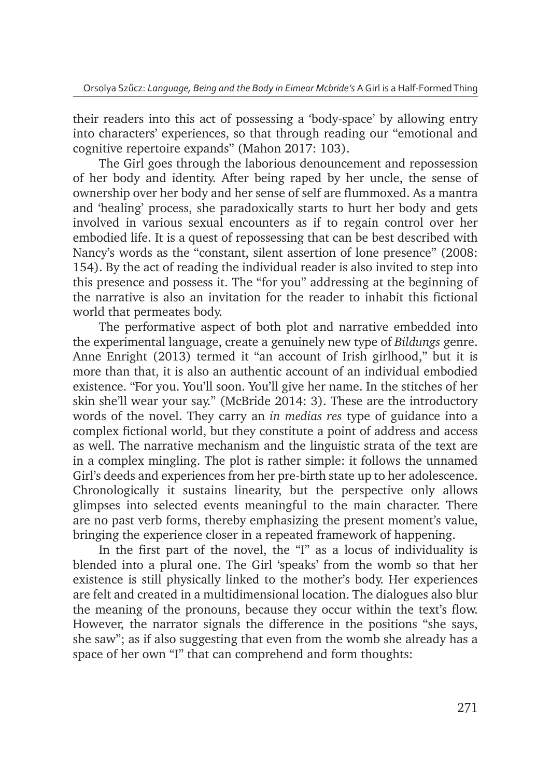their readers into this act of possessing a 'body-space' by allowing entry into characters' experiences, so that through reading our "emotional and cognitive repertoire expands" (Mahon 2017: 103).

The Girl goes through the laborious denouncement and repossession of her body and identity. After being raped by her uncle, the sense of ownership over her body and her sense of self are flummoxed. As a mantra and 'healing' process, she paradoxically starts to hurt her body and gets involved in various sexual encounters as if to regain control over her embodied life. It is a quest of repossessing that can be best described with Nancy's words as the "constant, silent assertion of lone presence" (2008: 154). By the act of reading the individual reader is also invited to step into this presence and possess it. The "for you" addressing at the beginning of the narrative is also an invitation for the reader to inhabit this fictional world that permeates body.

The performative aspect of both plot and narrative embedded into the experimental language, create a genuinely new type of *Bildungs* genre. Anne Enright (2013) termed it "an account of Irish girlhood," but it is more than that, it is also an authentic account of an individual embodied existence. "For you. You'll soon. You'll give her name. In the stitches of her skin she'll wear your say." (McBride 2014: 3). These are the introductory words of the novel. They carry an *in medias res* type of guidance into a complex fictional world, but they constitute a point of address and access as well. The narrative mechanism and the linguistic strata of the text are in a complex mingling. The plot is rather simple: it follows the unnamed Girl's deeds and experiences from her pre-birth state up to her adolescence. Chronologically it sustains linearity, but the perspective only allows glimpses into selected events meaningful to the main character. There are no past verb forms, thereby emphasizing the present moment's value, bringing the experience closer in a repeated framework of happening.

In the first part of the novel, the "I" as a locus of individuality is blended into a plural one. The Girl 'speaks' from the womb so that her existence is still physically linked to the mother's body. Her experiences are felt and created in a multidimensional location. The dialogues also blur the meaning of the pronouns, because they occur within the text's flow. However, the narrator signals the difference in the positions "she says, she saw"; as if also suggesting that even from the womb she already has a space of her own "I" that can comprehend and form thoughts: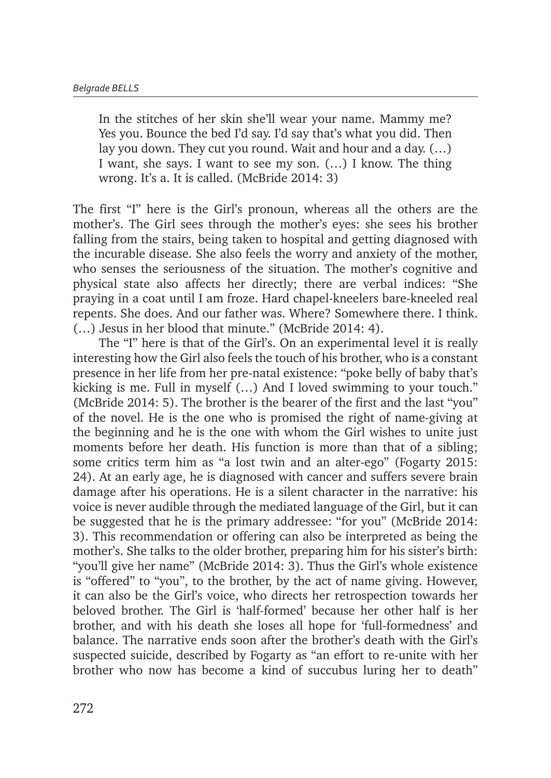In the stitches of her skin she'll wear your name. Mammy me? Yes you. Bounce the bed I'd say. I'd say that's what you did. Then lay you down. They cut you round. Wait and hour and a day. (…) I want, she says. I want to see my son. (…) I know. The thing wrong. It's a. It is called. (McBride 2014: 3)

The first "I" here is the Girl's pronoun, whereas all the others are the mother's. The Girl sees through the mother's eyes: she sees his brother falling from the stairs, being taken to hospital and getting diagnosed with the incurable disease. She also feels the worry and anxiety of the mother, who senses the seriousness of the situation. The mother's cognitive and physical state also affects her directly; there are verbal indices: "She praying in a coat until I am froze. Hard chapel-kneelers bare-kneeled real repents. She does. And our father was. Where? Somewhere there. I think. (…) Jesus in her blood that minute." (McBride 2014: 4).

The "I" here is that of the Girl's. On an experimental level it is really interesting how the Girl also feels the touch of his brother, who is a constant presence in her life from her pre-natal existence: "poke belly of baby that's kicking is me. Full in myself (…) And I loved swimming to your touch." (McBride 2014: 5). The brother is the bearer of the first and the last "you" of the novel. He is the one who is promised the right of name-giving at the beginning and he is the one with whom the Girl wishes to unite just moments before her death. His function is more than that of a sibling; some critics term him as "a lost twin and an alter-ego" (Fogarty 2015: 24). At an early age, he is diagnosed with cancer and suffers severe brain damage after his operations. He is a silent character in the narrative: his voice is never audible through the mediated language of the Girl, but it can be suggested that he is the primary addressee: "for you" (McBride 2014: 3). This recommendation or offering can also be interpreted as being the mother's. She talks to the older brother, preparing him for his sister's birth: "you'll give her name" (McBride 2014: 3). Thus the Girl's whole existence is "offered" to "you", to the brother, by the act of name giving. However, it can also be the Girl's voice, who directs her retrospection towards her beloved brother. The Girl is 'half-formed' because her other half is her brother, and with his death she loses all hope for 'full-formedness' and balance. The narrative ends soon after the brother's death with the Girl's suspected suicide, described by Fogarty as "an effort to re-unite with her brother who now has become a kind of succubus luring her to death"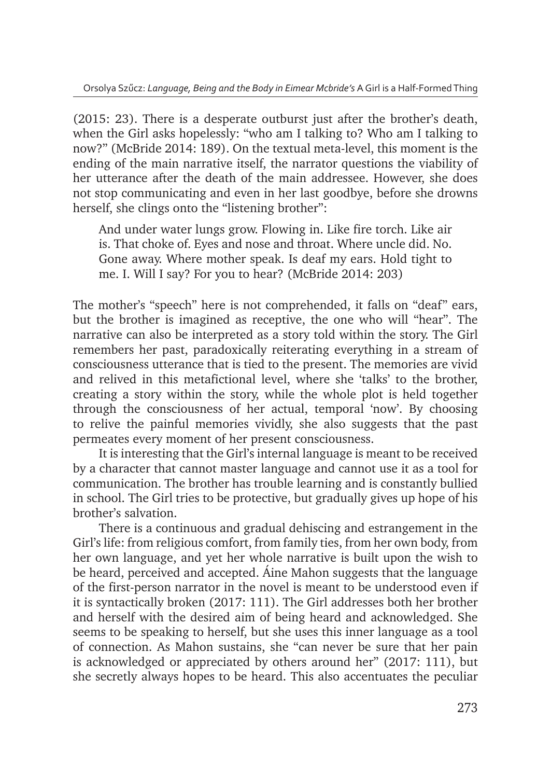(2015: 23). There is a desperate outburst just after the brother's death, when the Girl asks hopelessly: "who am I talking to? Who am I talking to now?" (McBride 2014: 189). On the textual meta-level, this moment is the ending of the main narrative itself, the narrator questions the viability of her utterance after the death of the main addressee. However, she does not stop communicating and even in her last goodbye, before she drowns herself, she clings onto the "listening brother":

And under water lungs grow. Flowing in. Like fire torch. Like air is. That choke of. Eyes and nose and throat. Where uncle did. No. Gone away. Where mother speak. Is deaf my ears. Hold tight to me. I. Will I say? For you to hear? (McBride 2014: 203)

The mother's "speech" here is not comprehended, it falls on "deaf" ears, but the brother is imagined as receptive, the one who will "hear". The narrative can also be interpreted as a story told within the story. The Girl remembers her past, paradoxically reiterating everything in a stream of consciousness utterance that is tied to the present. The memories are vivid and relived in this metafictional level, where she 'talks' to the brother, creating a story within the story, while the whole plot is held together through the consciousness of her actual, temporal 'now'. By choosing to relive the painful memories vividly, she also suggests that the past permeates every moment of her present consciousness.

It is interesting that the Girl's internal language is meant to be received by a character that cannot master language and cannot use it as a tool for communication. The brother has trouble learning and is constantly bullied in school. The Girl tries to be protective, but gradually gives up hope of his brother's salvation.

There is a continuous and gradual dehiscing and estrangement in the Girl's life: from religious comfort, from family ties, from her own body, from her own language, and yet her whole narrative is built upon the wish to be heard, perceived and accepted. Áine Mahon suggests that the language of the first-person narrator in the novel is meant to be understood even if it is syntactically broken (2017: 111). The Girl addresses both her brother and herself with the desired aim of being heard and acknowledged. She seems to be speaking to herself, but she uses this inner language as a tool of connection. As Mahon sustains, she "can never be sure that her pain is acknowledged or appreciated by others around her" (2017: 111), but she secretly always hopes to be heard. This also accentuates the peculiar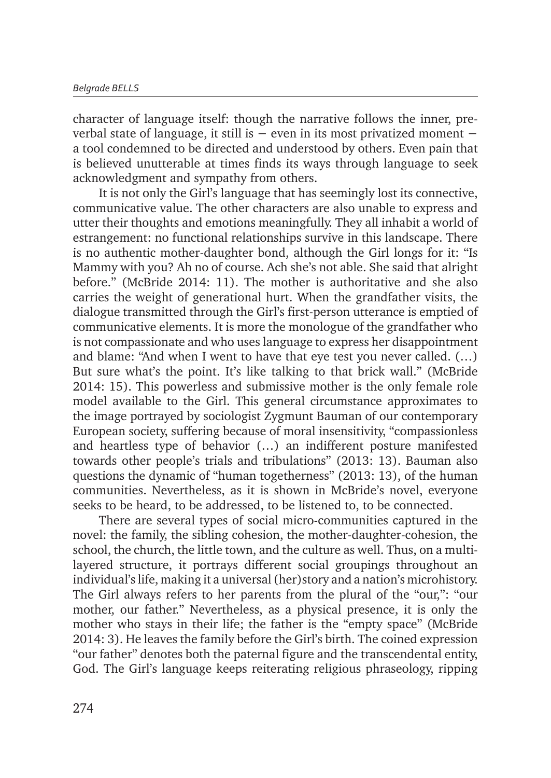character of language itself: though the narrative follows the inner, preverbal state of language, it still is − even in its most privatized moment − a tool condemned to be directed and understood by others. Even pain that is believed unutterable at times finds its ways through language to seek acknowledgment and sympathy from others.

It is not only the Girl's language that has seemingly lost its connective, communicative value. The other characters are also unable to express and utter their thoughts and emotions meaningfully. They all inhabit a world of estrangement: no functional relationships survive in this landscape. There is no authentic mother-daughter bond, although the Girl longs for it: "Is Mammy with you? Ah no of course. Ach she's not able. She said that alright before." (McBride 2014: 11). The mother is authoritative and she also carries the weight of generational hurt. When the grandfather visits, the dialogue transmitted through the Girl's first-person utterance is emptied of communicative elements. It is more the monologue of the grandfather who is not compassionate and who uses language to express her disappointment and blame: "And when I went to have that eye test you never called. (…) But sure what's the point. It's like talking to that brick wall." (McBride 2014: 15). This powerless and submissive mother is the only female role model available to the Girl. This general circumstance approximates to the image portrayed by sociologist Zygmunt Bauman of our contemporary European society, suffering because of moral insensitivity, "compassionless and heartless type of behavior (…) an indifferent posture manifested towards other people's trials and tribulations" (2013: 13). Bauman also questions the dynamic of "human togetherness" (2013: 13), of the human communities. Nevertheless, as it is shown in McBride's novel, everyone seeks to be heard, to be addressed, to be listened to, to be connected.

There are several types of social micro-communities captured in the novel: the family, the sibling cohesion, the mother-daughter-cohesion, the school, the church, the little town, and the culture as well. Thus, on a multilayered structure, it portrays different social groupings throughout an individual's life, making it a universal (her)story and a nation's microhistory. The Girl always refers to her parents from the plural of the "our,": "our mother, our father." Nevertheless, as a physical presence, it is only the mother who stays in their life; the father is the "empty space" (McBride 2014: 3). He leaves the family before the Girl's birth. The coined expression "our father" denotes both the paternal figure and the transcendental entity, God. The Girl's language keeps reiterating religious phraseology, ripping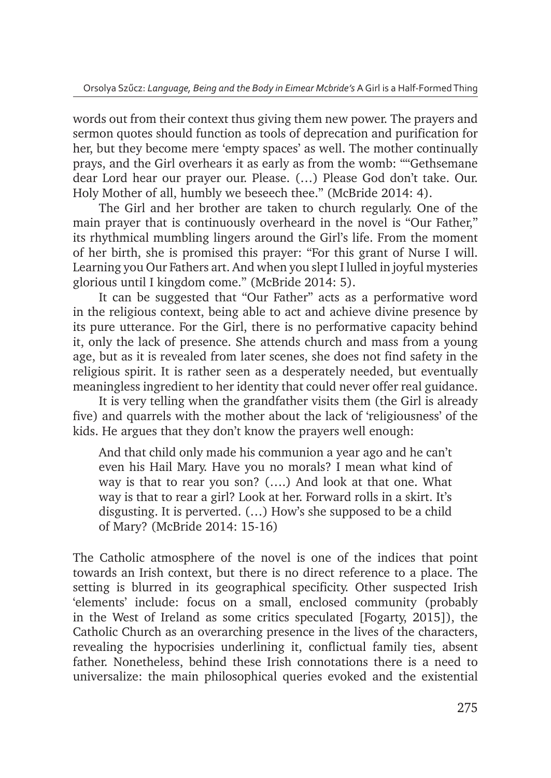words out from their context thus giving them new power. The prayers and sermon quotes should function as tools of deprecation and purification for her, but they become mere 'empty spaces' as well. The mother continually prays, and the Girl overhears it as early as from the womb: ""Gethsemane dear Lord hear our prayer our. Please. (…) Please God don't take. Our. Holy Mother of all, humbly we beseech thee." (McBride 2014: 4).

The Girl and her brother are taken to church regularly. One of the main prayer that is continuously overheard in the novel is "Our Father," its rhythmical mumbling lingers around the Girl's life. From the moment of her birth, she is promised this prayer: "For this grant of Nurse I will. Learning you Our Fathers art. And when you slept I lulled in joyful mysteries glorious until I kingdom come." (McBride 2014: 5).

It can be suggested that "Our Father" acts as a performative word in the religious context, being able to act and achieve divine presence by its pure utterance. For the Girl, there is no performative capacity behind it, only the lack of presence. She attends church and mass from a young age, but as it is revealed from later scenes, she does not find safety in the religious spirit. It is rather seen as a desperately needed, but eventually meaningless ingredient to her identity that could never offer real guidance.

It is very telling when the grandfather visits them (the Girl is already five) and quarrels with the mother about the lack of 'religiousness' of the kids. He argues that they don't know the prayers well enough:

And that child only made his communion a year ago and he can't even his Hail Mary. Have you no morals? I mean what kind of way is that to rear you son? (….) And look at that one. What way is that to rear a girl? Look at her. Forward rolls in a skirt. It's disgusting. It is perverted. (…) How's she supposed to be a child of Mary? (McBride 2014: 15-16)

The Catholic atmosphere of the novel is one of the indices that point towards an Irish context, but there is no direct reference to a place. The setting is blurred in its geographical specificity. Other suspected Irish 'elements' include: focus on a small, enclosed community (probably in the West of Ireland as some critics speculated [Fogarty, 2015]), the Catholic Church as an overarching presence in the lives of the characters, revealing the hypocrisies underlining it, conflictual family ties, absent father. Nonetheless, behind these Irish connotations there is a need to universalize: the main philosophical queries evoked and the existential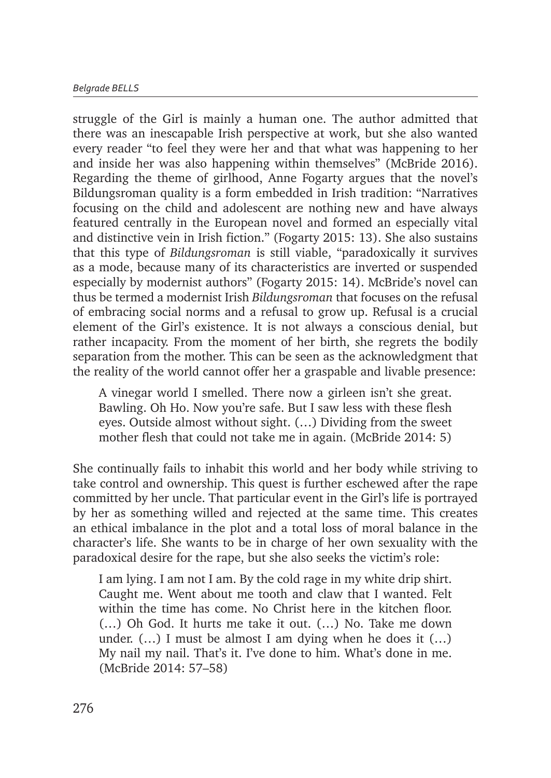struggle of the Girl is mainly a human one. The author admitted that there was an inescapable Irish perspective at work, but she also wanted every reader "to feel they were her and that what was happening to her and inside her was also happening within themselves" (McBride 2016). Regarding the theme of girlhood, Anne Fogarty argues that the novel's Bildungsroman quality is a form embedded in Irish tradition: "Narratives focusing on the child and adolescent are nothing new and have always featured centrally in the European novel and formed an especially vital and distinctive vein in Irish fiction." (Fogarty 2015: 13). She also sustains that this type of *Bildungsroman* is still viable, "paradoxically it survives as a mode, because many of its characteristics are inverted or suspended especially by modernist authors" (Fogarty 2015: 14). McBride's novel can thus be termed a modernist Irish *Bildungsroman* that focuses on the refusal of embracing social norms and a refusal to grow up. Refusal is a crucial element of the Girl's existence. It is not always a conscious denial, but rather incapacity. From the moment of her birth, she regrets the bodily separation from the mother. This can be seen as the acknowledgment that the reality of the world cannot offer her a graspable and livable presence:

A vinegar world I smelled. There now a girleen isn't she great. Bawling. Oh Ho. Now you're safe. But I saw less with these flesh eyes. Outside almost without sight. (…) Dividing from the sweet mother flesh that could not take me in again. (McBride 2014: 5)

She continually fails to inhabit this world and her body while striving to take control and ownership. This quest is further eschewed after the rape committed by her uncle. That particular event in the Girl's life is portrayed by her as something willed and rejected at the same time. This creates an ethical imbalance in the plot and a total loss of moral balance in the character's life. She wants to be in charge of her own sexuality with the paradoxical desire for the rape, but she also seeks the victim's role:

I am lying. I am not I am. By the cold rage in my white drip shirt. Caught me. Went about me tooth and claw that I wanted. Felt within the time has come. No Christ here in the kitchen floor. (…) Oh God. It hurts me take it out. (…) No. Take me down under. (…) I must be almost I am dying when he does it (…) My nail my nail. That's it. I've done to him. What's done in me. (McBride 2014: 57–58)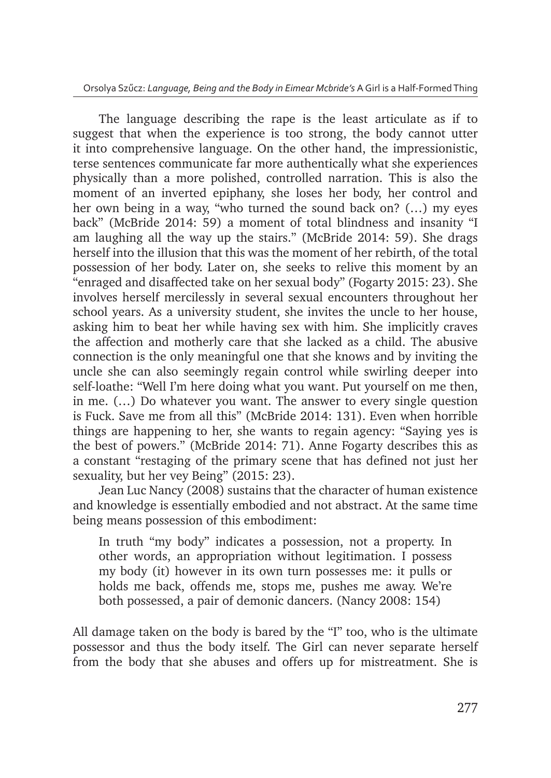The language describing the rape is the least articulate as if to suggest that when the experience is too strong, the body cannot utter it into comprehensive language. On the other hand, the impressionistic, terse sentences communicate far more authentically what she experiences physically than a more polished, controlled narration. This is also the moment of an inverted epiphany, she loses her body, her control and her own being in a way, "who turned the sound back on? (…) my eyes back" (McBride 2014: 59) a moment of total blindness and insanity "I am laughing all the way up the stairs." (McBride 2014: 59). She drags herself into the illusion that this was the moment of her rebirth, of the total possession of her body. Later on, she seeks to relive this moment by an "enraged and disaffected take on her sexual body" (Fogarty 2015: 23). She involves herself mercilessly in several sexual encounters throughout her school years. As a university student, she invites the uncle to her house, asking him to beat her while having sex with him. She implicitly craves the affection and motherly care that she lacked as a child. The abusive connection is the only meaningful one that she knows and by inviting the uncle she can also seemingly regain control while swirling deeper into self-loathe: "Well I'm here doing what you want. Put yourself on me then, in me. (…) Do whatever you want. The answer to every single question is Fuck. Save me from all this" (McBride 2014: 131). Even when horrible things are happening to her, she wants to regain agency: "Saying yes is the best of powers." (McBride 2014: 71). Anne Fogarty describes this as a constant "restaging of the primary scene that has defined not just her sexuality, but her vey Being" (2015: 23).

Jean Luc Nancy (2008) sustains that the character of human existence and knowledge is essentially embodied and not abstract. At the same time being means possession of this embodiment:

In truth "my body" indicates a possession, not a property. In other words, an appropriation without legitimation. I possess my body (it) however in its own turn possesses me: it pulls or holds me back, offends me, stops me, pushes me away. We're both possessed, a pair of demonic dancers. (Nancy 2008: 154)

All damage taken on the body is bared by the "I" too, who is the ultimate possessor and thus the body itself. The Girl can never separate herself from the body that she abuses and offers up for mistreatment. She is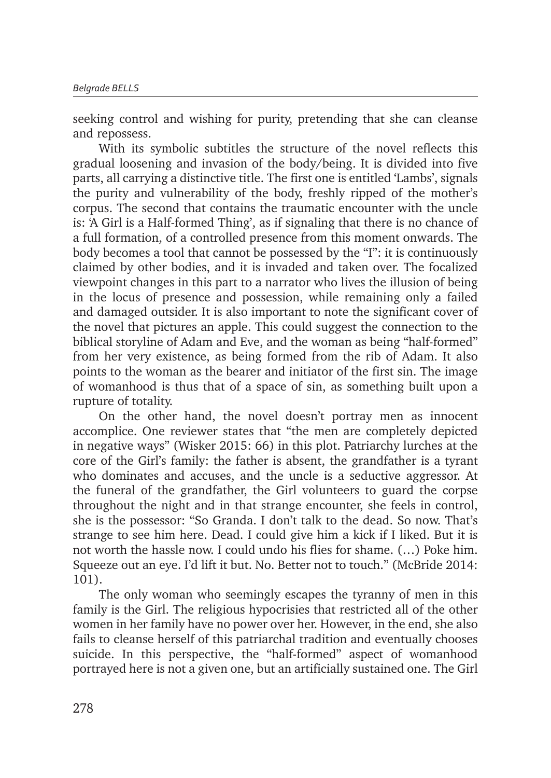seeking control and wishing for purity, pretending that she can cleanse and repossess.

With its symbolic subtitles the structure of the novel reflects this gradual loosening and invasion of the body/being. It is divided into five parts, all carrying a distinctive title. The first one is entitled 'Lambs', signals the purity and vulnerability of the body, freshly ripped of the mother's corpus. The second that contains the traumatic encounter with the uncle is: 'A Girl is a Half-formed Thing', as if signaling that there is no chance of a full formation, of a controlled presence from this moment onwards. The body becomes a tool that cannot be possessed by the "I": it is continuously claimed by other bodies, and it is invaded and taken over. The focalized viewpoint changes in this part to a narrator who lives the illusion of being in the locus of presence and possession, while remaining only a failed and damaged outsider. It is also important to note the significant cover of the novel that pictures an apple. This could suggest the connection to the biblical storyline of Adam and Eve, and the woman as being "half-formed" from her very existence, as being formed from the rib of Adam. It also points to the woman as the bearer and initiator of the first sin. The image of womanhood is thus that of a space of sin, as something built upon a rupture of totality.

On the other hand, the novel doesn't portray men as innocent accomplice. One reviewer states that "the men are completely depicted in negative ways" (Wisker 2015: 66) in this plot. Patriarchy lurches at the core of the Girl's family: the father is absent, the grandfather is a tyrant who dominates and accuses, and the uncle is a seductive aggressor. At the funeral of the grandfather, the Girl volunteers to guard the corpse throughout the night and in that strange encounter, she feels in control, she is the possessor: "So Granda. I don't talk to the dead. So now. That's strange to see him here. Dead. I could give him a kick if I liked. But it is not worth the hassle now. I could undo his flies for shame. (…) Poke him. Squeeze out an eye. I'd lift it but. No. Better not to touch." (McBride 2014: 101).

The only woman who seemingly escapes the tyranny of men in this family is the Girl. The religious hypocrisies that restricted all of the other women in her family have no power over her. However, in the end, she also fails to cleanse herself of this patriarchal tradition and eventually chooses suicide. In this perspective, the "half-formed" aspect of womanhood portrayed here is not a given one, but an artificially sustained one. The Girl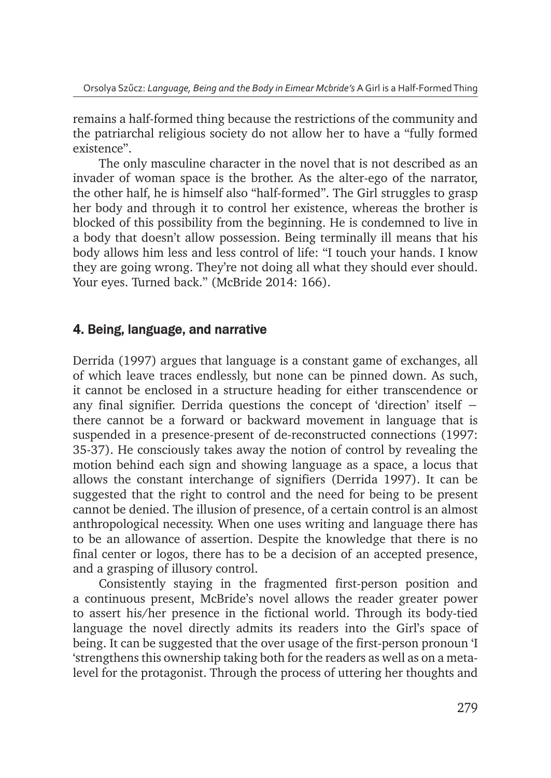remains a half-formed thing because the restrictions of the community and the patriarchal religious society do not allow her to have a "fully formed existence".

The only masculine character in the novel that is not described as an invader of woman space is the brother. As the alter-ego of the narrator, the other half, he is himself also "half-formed". The Girl struggles to grasp her body and through it to control her existence, whereas the brother is blocked of this possibility from the beginning. He is condemned to live in a body that doesn't allow possession. Being terminally ill means that his body allows him less and less control of life: "I touch your hands. I know they are going wrong. They're not doing all what they should ever should. Your eyes. Turned back." (McBride 2014: 166).

#### 4. Being, language, and narrative

Derrida (1997) argues that language is a constant game of exchanges, all of which leave traces endlessly, but none can be pinned down. As such, it cannot be enclosed in a structure heading for either transcendence or any final signifier. Derrida questions the concept of 'direction' itself − there cannot be a forward or backward movement in language that is suspended in a presence-present of de-reconstructed connections (1997: 35-37). He consciously takes away the notion of control by revealing the motion behind each sign and showing language as a space, a locus that allows the constant interchange of signifiers (Derrida 1997). It can be suggested that the right to control and the need for being to be present cannot be denied. The illusion of presence, of a certain control is an almost anthropological necessity. When one uses writing and language there has to be an allowance of assertion. Despite the knowledge that there is no final center or logos, there has to be a decision of an accepted presence, and a grasping of illusory control.

Consistently staying in the fragmented first-person position and a continuous present, McBride's novel allows the reader greater power to assert his/her presence in the fictional world. Through its body-tied language the novel directly admits its readers into the Girl's space of being. It can be suggested that the over usage of the first-person pronoun 'I 'strengthens this ownership taking both for the readers as well as on a metalevel for the protagonist. Through the process of uttering her thoughts and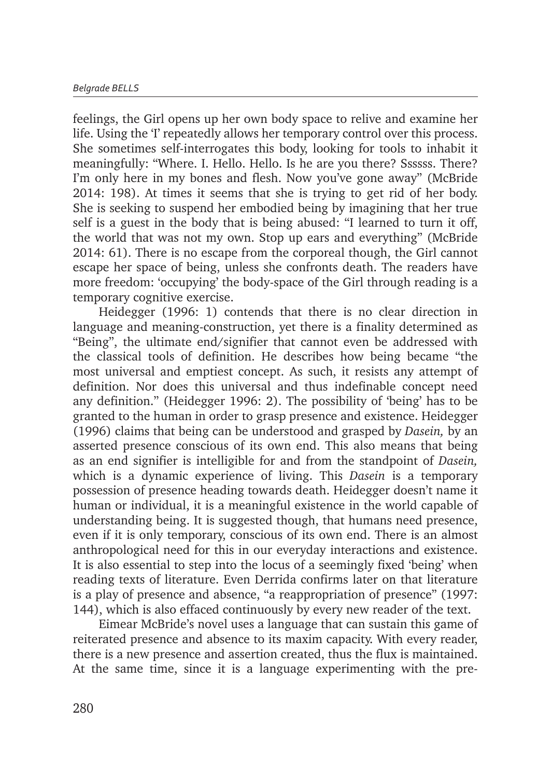feelings, the Girl opens up her own body space to relive and examine her life. Using the 'I' repeatedly allows her temporary control over this process. She sometimes self-interrogates this body, looking for tools to inhabit it meaningfully: "Where. I. Hello. Hello. Is he are you there? Ssssss. There? I'm only here in my bones and flesh. Now you've gone away" (McBride 2014: 198). At times it seems that she is trying to get rid of her body. She is seeking to suspend her embodied being by imagining that her true self is a guest in the body that is being abused: "I learned to turn it off, the world that was not my own. Stop up ears and everything" (McBride 2014: 61). There is no escape from the corporeal though, the Girl cannot escape her space of being, unless she confronts death. The readers have more freedom: 'occupying' the body-space of the Girl through reading is a temporary cognitive exercise.

Heidegger (1996: 1) contends that there is no clear direction in language and meaning-construction, yet there is a finality determined as "Being", the ultimate end/signifier that cannot even be addressed with the classical tools of definition. He describes how being became "the most universal and emptiest concept. As such, it resists any attempt of definition. Nor does this universal and thus indefinable concept need any definition." (Heidegger 1996: 2). The possibility of 'being' has to be granted to the human in order to grasp presence and existence. Heidegger (1996) claims that being can be understood and grasped by *Dasein,* by an asserted presence conscious of its own end. This also means that being as an end signifier is intelligible for and from the standpoint of *Dasein,* which is a dynamic experience of living. This *Dasein* is a temporary possession of presence heading towards death. Heidegger doesn't name it human or individual, it is a meaningful existence in the world capable of understanding being. It is suggested though, that humans need presence, even if it is only temporary, conscious of its own end. There is an almost anthropological need for this in our everyday interactions and existence. It is also essential to step into the locus of a seemingly fixed 'being' when reading texts of literature. Even Derrida confirms later on that literature is a play of presence and absence, "a reappropriation of presence" (1997: 144), which is also effaced continuously by every new reader of the text.

Eimear McBride's novel uses a language that can sustain this game of reiterated presence and absence to its maxim capacity. With every reader, there is a new presence and assertion created, thus the flux is maintained. At the same time, since it is a language experimenting with the pre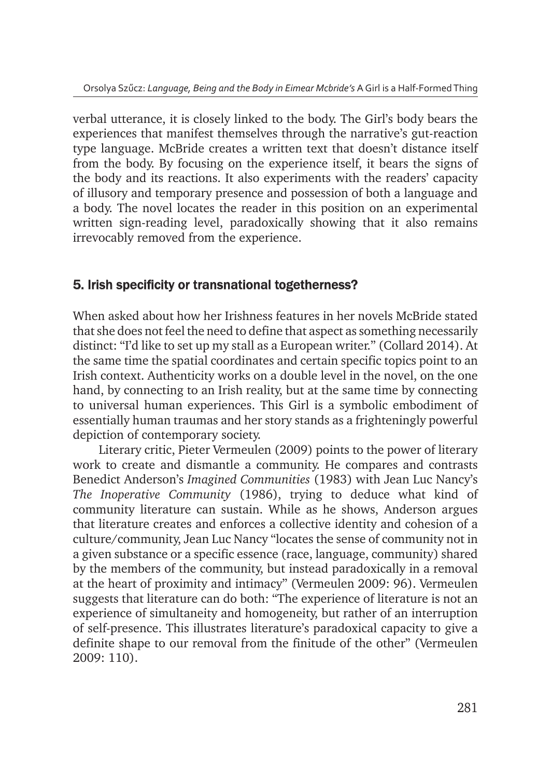verbal utterance, it is closely linked to the body. The Girl's body bears the experiences that manifest themselves through the narrative's gut-reaction type language. McBride creates a written text that doesn't distance itself from the body. By focusing on the experience itself, it bears the signs of the body and its reactions. It also experiments with the readers' capacity of illusory and temporary presence and possession of both a language and a body. The novel locates the reader in this position on an experimental written sign-reading level, paradoxically showing that it also remains irrevocably removed from the experience.

#### 5. Irish specificity or transnational togetherness?

When asked about how her Irishness features in her novels McBride stated that she does not feel the need to define that aspect as something necessarily distinct: "I'd like to set up my stall as a European writer." (Collard 2014). At the same time the spatial coordinates and certain specific topics point to an Irish context. Authenticity works on a double level in the novel, on the one hand, by connecting to an Irish reality, but at the same time by connecting to universal human experiences. This Girl is a symbolic embodiment of essentially human traumas and her story stands as a frighteningly powerful depiction of contemporary society.

Literary critic, Pieter Vermeulen (2009) points to the power of literary work to create and dismantle a community. He compares and contrasts Benedict Anderson's *Imagined Communities* (1983) with Jean Luc Nancy's *The Inoperative Community* (1986), trying to deduce what kind of community literature can sustain. While as he shows, Anderson argues that literature creates and enforces a collective identity and cohesion of a culture/community, Jean Luc Nancy "locates the sense of community not in a given substance or a specific essence (race, language, community) shared by the members of the community, but instead paradoxically in a removal at the heart of proximity and intimacy" (Vermeulen 2009: 96). Vermeulen suggests that literature can do both: "The experience of literature is not an experience of simultaneity and homogeneity, but rather of an interruption of self-presence. This illustrates literature's paradoxical capacity to give a definite shape to our removal from the finitude of the other" (Vermeulen 2009: 110).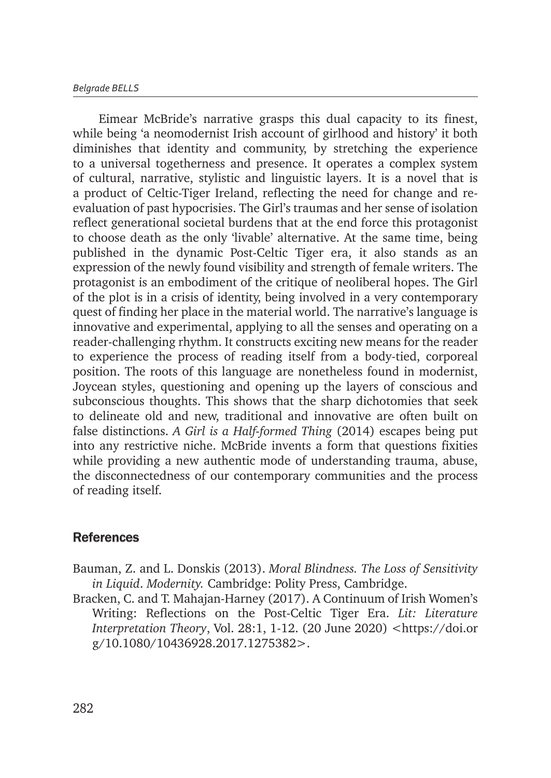Eimear McBride's narrative grasps this dual capacity to its finest, while being 'a neomodernist Irish account of girlhood and history' it both diminishes that identity and community, by stretching the experience to a universal togetherness and presence. It operates a complex system of cultural, narrative, stylistic and linguistic layers. It is a novel that is a product of Celtic-Tiger Ireland, reflecting the need for change and reevaluation of past hypocrisies. The Girl's traumas and her sense of isolation reflect generational societal burdens that at the end force this protagonist to choose death as the only 'livable' alternative. At the same time, being published in the dynamic Post-Celtic Tiger era, it also stands as an expression of the newly found visibility and strength of female writers. The protagonist is an embodiment of the critique of neoliberal hopes. The Girl of the plot is in a crisis of identity, being involved in a very contemporary quest of finding her place in the material world. The narrative's language is innovative and experimental, applying to all the senses and operating on a reader-challenging rhythm. It constructs exciting new means for the reader to experience the process of reading itself from a body-tied, corporeal position. The roots of this language are nonetheless found in modernist, Joycean styles, questioning and opening up the layers of conscious and subconscious thoughts. This shows that the sharp dichotomies that seek to delineate old and new, traditional and innovative are often built on false distinctions. *A Girl is a Half-formed Thing* (2014) escapes being put into any restrictive niche. McBride invents a form that questions fixities while providing a new authentic mode of understanding trauma, abuse, the disconnectedness of our contemporary communities and the process of reading itself.

#### **References**

- Bauman, Z. and L. Donskis (2013). *Moral Blindness. The Loss of Sensitivity in Liquid*. *Modernity.* Cambridge: Polity Press, Cambridge.
- Bracken, C. and T. Mahajan-Harney (2017). A Continuum of Irish Women's Writing: Reflections on the Post-Celtic Tiger Era. *Lit: Literature Interpretation Theory*, Vol. 28:1, 1-12. (20 June 2020) <https://doi.or g/10.1080/10436928.2017.1275382>.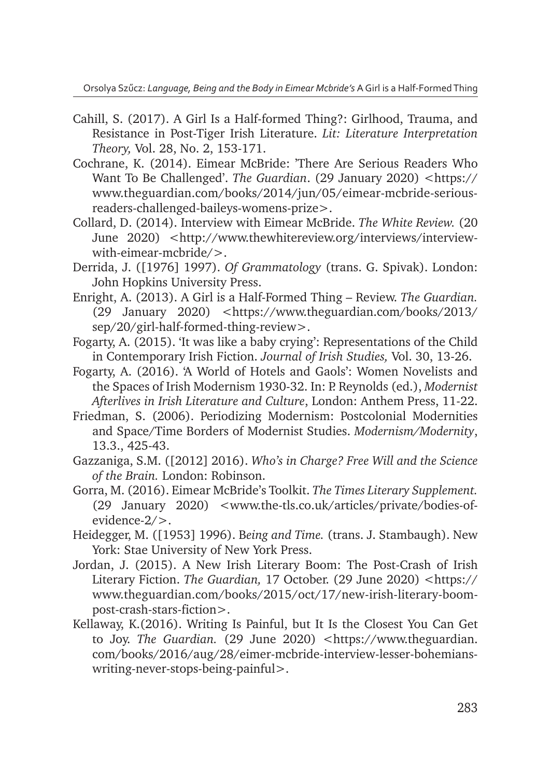Orsolya Szűcz: *Language, Being and the Body in Eimear Mcbride's* A Girl is a Half-Formed Thing

- Cahill, S. (2017). A Girl Is a Half-formed Thing?: Girlhood, Trauma, and Resistance in Post-Tiger Irish Literature. *Lit: Literature Interpretation Theory,* Vol. 28, No. 2, 153-171.
- Cochrane, K. (2014). Eimear McBride: 'There Are Serious Readers Who Want To Be Challenged'. *The Guardian*. (29 January 2020) <https:// www.theguardian.com/books/2014/jun/05/eimear-mcbride-seriousreaders-challenged-baileys-womens-prize>.
- Collard, D. (2014). Interview with Eimear McBride. *The White Review.* (20 June 2020) <http://www.thewhitereview.org/interviews/interviewwith-eimear-mcbride/>.
- Derrida, J. ([1976] 1997). *Of Grammatology* (trans. G. Spivak). London: John Hopkins University Press.
- Enright, A. (2013). A Girl is a Half-Formed Thing Review. *The Guardian.*  (29 January 2020) <https://www.theguardian.com/books/2013/ sep/20/girl-half-formed-thing-review>.
- Fogarty, A. (2015). 'It was like a baby crying': Representations of the Child in Contemporary Irish Fiction. *Journal of Irish Studies,* Vol. 30, 13-26.
- Fogarty, A. (2016). 'A World of Hotels and Gaols': Women Novelists and the Spaces of Irish Modernism 1930-32. In: P. Reynolds (ed.), *Modernist Afterlives in Irish Literature and Culture*, London: Anthem Press, 11-22.
- Friedman, S. (2006). Periodizing Modernism: Postcolonial Modernities and Space/Time Borders of Modernist Studies. *Modernism/Modernity*, 13.3., 425-43.
- Gazzaniga, S.M. ([2012] 2016). *Who's in Charge? Free Will and the Science of the Brain.* London: Robinson.
- Gorra, M. (2016). Eimear McBride's Toolkit. *The Times Literary Supplement.* (29 January 2020) <www.the-tls.co.uk/articles/private/bodies-ofevidence-2/>.
- Heidegger, M. ([1953] 1996). B*eing and Time.* (trans. J. Stambaugh). New York: Stae University of New York Press.
- Jordan, J. (2015). A New Irish Literary Boom: The Post-Crash of Irish Literary Fiction. *The Guardian,* 17 October. (29 June 2020) <https:// www.theguardian.com/books/2015/oct/17/new-irish-literary-boompost-crash-stars-fiction>.
- Kellaway, K.(2016). Writing Is Painful, but It Is the Closest You Can Get to Joy. *The Guardian.* (29 June 2020) <https://www.theguardian. com/books/2016/aug/28/eimer-mcbride-interview-lesser-bohemianswriting-never-stops-being-painful>.